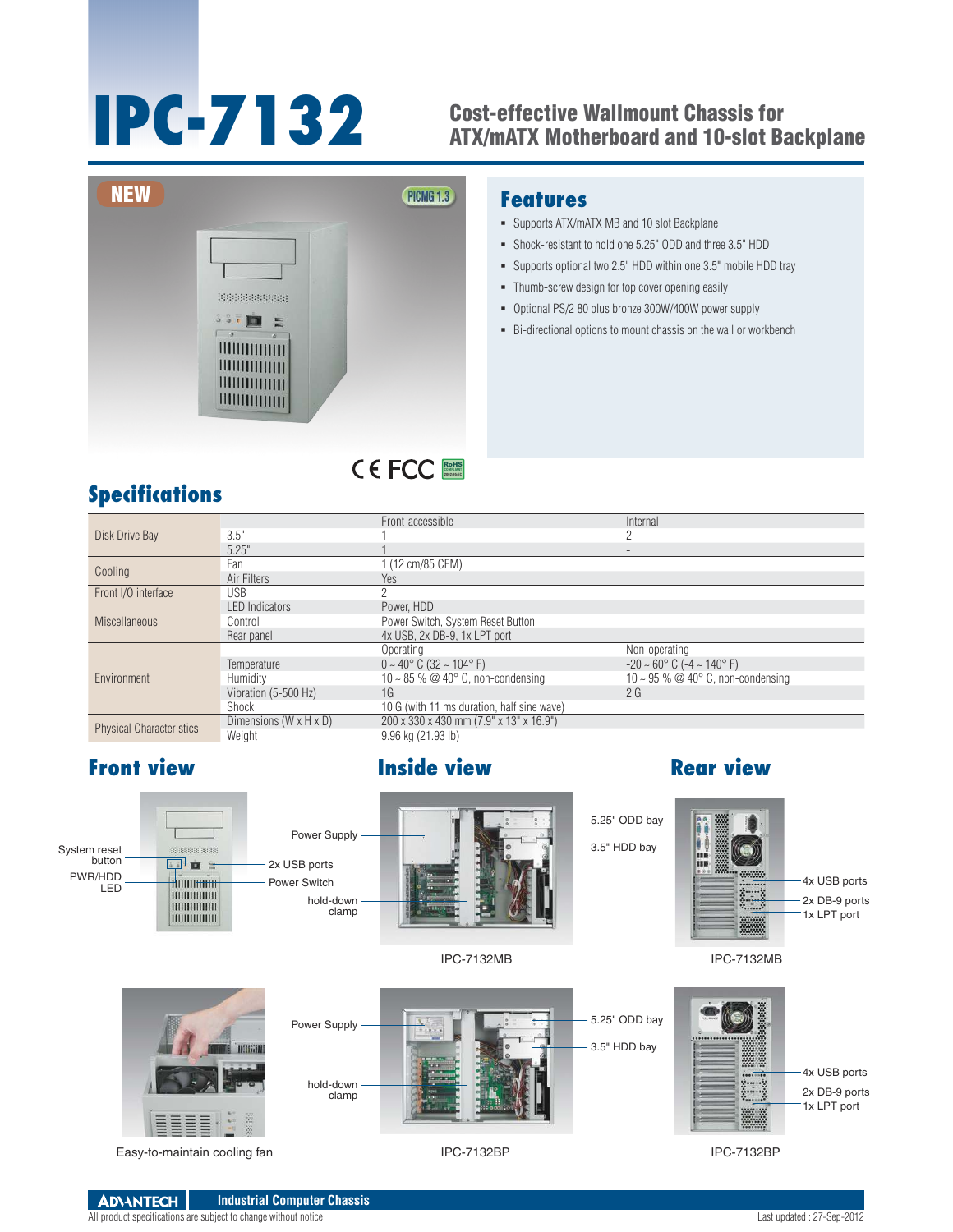## **IPC-7132** Cost-effective Wallmount Chassis for ATX/mATX Motherboard and 10-slot Backplane



### **Features**

- Supports ATX/mATX MB and 10 slot Backplane
- Shock-resistant to hold one 5.25" ODD and three 3.5" HDD
- Supports optional two 2.5" HDD within one 3.5" mobile HDD tray
- Thumb-screw design for top cover opening easily
- Optional PS/2 80 plus bronze 300W/400W power supply
- Bi-directional options to mount chassis on the wall or workbench

## **Specifications**

| Disk Drive Bay                  |                        | Front-accessible                                | Internal                                           |
|---------------------------------|------------------------|-------------------------------------------------|----------------------------------------------------|
|                                 | 3.5"                   |                                                 |                                                    |
|                                 | 5.25"                  |                                                 | $\overline{\phantom{a}}$                           |
| Cooling                         | Fan                    | (12 cm/85 CFM)                                  |                                                    |
|                                 | Air Filters            | Yes                                             |                                                    |
| Front I/O interface             | <b>USB</b>             |                                                 |                                                    |
| <b>Miscellaneous</b>            | <b>LED</b> Indicators  | Power, HDD                                      |                                                    |
|                                 | Control                | Power Switch, System Reset Button               |                                                    |
|                                 | Rear panel             | 4x USB, 2x DB-9, 1x LPT port                    |                                                    |
| Environment                     |                        | Operating                                       | Non-operating                                      |
|                                 | Temperature            | $0 \sim 40^{\circ}$ C (32 $\sim 104^{\circ}$ F) | $-20 \sim 60^{\circ}$ C ( $-4 \sim 140^{\circ}$ F) |
|                                 | Humidity               | 10 ~ 85 % @ 40 $\degree$ C, non-condensing      | 10 ~ 95 % @ 40 $^{\circ}$ C, non-condensing        |
|                                 | Vibration (5-500 Hz)   | 1G                                              | 2G                                                 |
|                                 | Shock                  | 10 G (with 11 ms duration, half sine wave)      |                                                    |
| <b>Physical Characteristics</b> | Dimensions (W x H x D) | 200 x 330 x 430 mm (7.9" x 13" x 16.9")         |                                                    |
|                                 | Weight                 | 9.96 kg (21.93 lb)                              |                                                    |

RoHS **COMPLIANT 2002/95/EC**

## **Front view <b>Inside view Rear view**



**ADVANTECH Industrial Computer Chassis** All product specifications are subject to change without notice Last updated : 27-Sep-2012